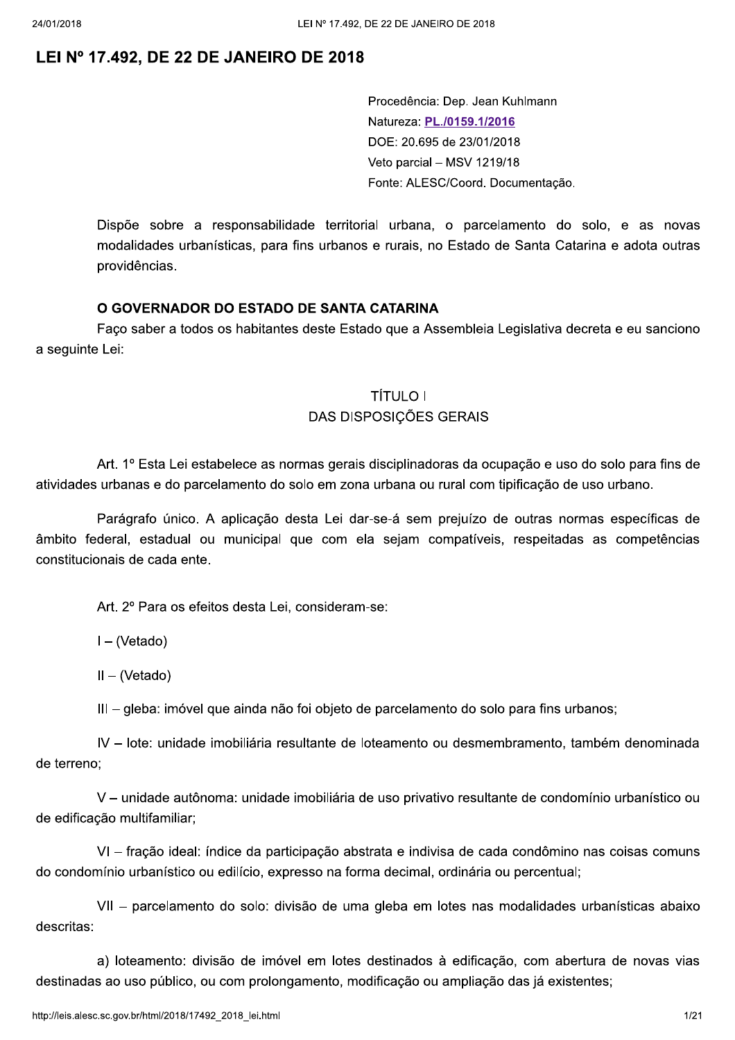Procedência: Dep. Jean Kuhlmann Natureza: PL./0159.1/2016 DOE: 20.695 de 23/01/2018 Veto parcial - MSV 1219/18 Fonte: ALESC/Coord. Documentação.

Dispõe sobre a responsabilidade territorial urbana, o parcelamento do solo, e as novas modalidades urbanísticas, para fins urbanos e rurais, no Estado de Santa Catarina e adota outras providências.

## O GOVERNADOR DO ESTADO DE SANTA CATARINA

Faço saber a todos os habitantes deste Estado que a Assembleia Legislativa decreta e eu sanciono a sequinte Lei:

## **TÍTULO I DAS DISPOSICÕES GERAIS**

Art. 1º Esta Lei estabelece as normas gerais disciplinadoras da ocupação e uso do solo para fins de atividades urbanas e do parcelamento do solo em zona urbana ou rural com tipificação de uso urbano.

Parágrafo único. A aplicação desta Lei dar-se-á sem prejuízo de outras normas específicas de âmbito federal, estadual ou municipal que com ela sejam compatíveis, respeitadas as competências constitucionais de cada ente.

Art. 2º Para os efeitos desta Lei, consideram-se:

 $I - (Vetado)$ 

 $II - (Vetado)$ 

III - gleba: imóvel que ainda não foi objeto de parcelamento do solo para fins urbanos;

IV - lote: unidade imobiliária resultante de loteamento ou desmembramento, também denominada de terreno:

V - unidade autônoma: unidade imobiliária de uso privativo resultante de condomínio urbanístico ou de edificação multifamiliar:

VI - fração ideal: índice da participação abstrata e indivisa de cada condômino nas coisas comuns do condomínio urbanístico ou edilício, expresso na forma decimal, ordinária ou percentual;

VII - parcelamento do solo: divisão de uma gleba em lotes nas modalidades urbanísticas abaixo descritas:

a) loteamento: divisão de imóvel em lotes destinados à edificação, com abertura de novas vias destinadas ao uso público, ou com prolongamento, modificação ou ampliação das já existentes;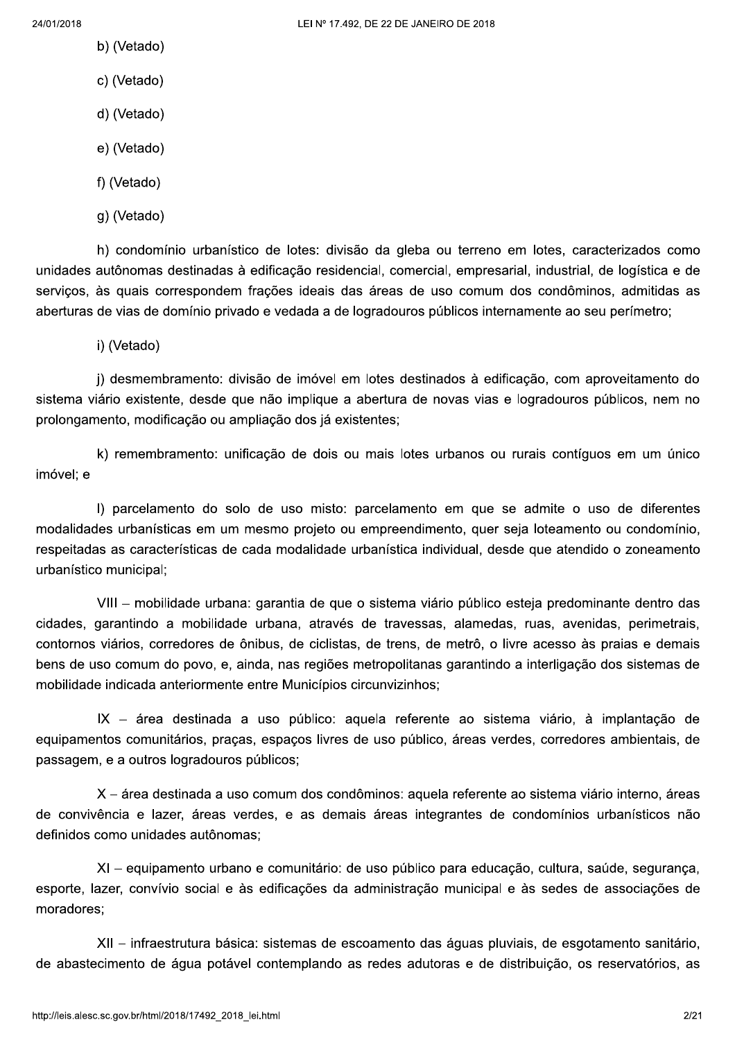- b) (Vetado)
- c) (Vetado)
- d) (Vetado)
- e) (Vetado)
- f) (Vetado)
- g) (Vetado)

h) condomínio urbanístico de lotes: divisão da gleba ou terreno em lotes, caracterizados como unidades autônomas destinadas à edificação residencial, comercial, empresarial, industrial, de logística e de servicos, às quais correspondem frações ideais das áreas de uso comum dos condôminos, admitidas as aberturas de vias de domínio privado e vedada a de logradouros públicos internamente ao seu perímetro;

i) (Vetado)

j) desmembramento: divisão de imóvel em lotes destinados à edificação, com aproveitamento do sistema viário existente, desde que não implique a abertura de novas vias e logradouros públicos, nem no prolongamento, modificação ou ampliação dos já existentes;

k) remembramento: unificação de dois ou mais lotes urbanos ou rurais contíguos em um único imóvel; e

I) parcelamento do solo de uso misto: parcelamento em que se admite o uso de diferentes modalidades urbanísticas em um mesmo projeto ou empreendimento, quer seja loteamento ou condomínio, respeitadas as características de cada modalidade urbanística individual, desde que atendido o zoneamento urbanístico municipal:

VIII – mobilidade urbana: garantia de que o sistema viário público esteja predominante dentro das cidades, garantindo a mobilidade urbana, através de travessas, alamedas, ruas, avenidas, perimetrais, contornos viários, corredores de ônibus, de ciclistas, de trens, de metrô, o livre acesso às praias e demais bens de uso comum do povo, e, ainda, nas regiões metropolitanas garantindo a interligação dos sistemas de mobilidade indicada anteriormente entre Municípios circunvizinhos;

IX - área destinada a uso público: aquela referente ao sistema viário, à implantação de equipamentos comunitários, praças, espaços livres de uso público, áreas verdes, corredores ambientais, de passagem, e a outros logradouros públicos;

X – área destinada a uso comum dos condôminos: aquela referente ao sistema viário interno, áreas de convivência e lazer, áreas verdes, e as demais áreas integrantes de condomínios urbanísticos não definidos como unidades autônomas:

XI – equipamento urbano e comunitário: de uso público para educação, cultura, saúde, segurança, esporte, lazer, convívio social e às edificações da administração municipal e às sedes de associações de moradores:

XII – infraestrutura básica: sistemas de escoamento das águas pluviais, de esgotamento sanitário. de abastecimento de água potável contemplando as redes adutoras e de distribuição, os reservatórios, as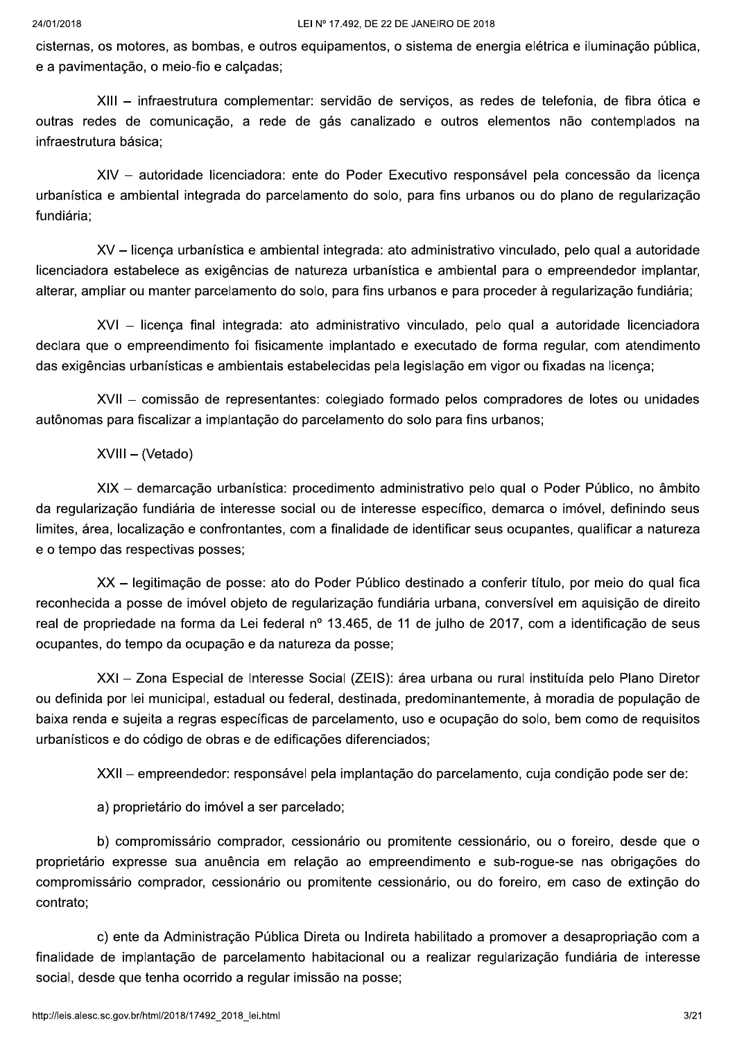cisternas, os motores, as bombas, e outros equipamentos, o sistema de energia elétrica e iluminação pública, e a pavimentação, o meio-fio e calçadas;

XIII - infraestrutura complementar: servidão de serviços, as redes de telefonia, de fibra ótica e outras redes de comunicação, a rede de gás canalizado e outros elementos não contemplados na infraestrutura básica;

XIV - autoridade licenciadora: ente do Poder Executivo responsável pela concessão da licença urbanística e ambiental integrada do parcelamento do solo, para fins urbanos ou do plano de regularização fundiária:

XV - licença urbanística e ambiental integrada: ato administrativo vinculado, pelo qual a autoridade licenciadora estabelece as exigências de natureza urbanística e ambiental para o empreendedor implantar, alterar. ampliar ou manter parcelamento do solo, para fins urbanos e para proceder à regularização fundiária;

XVI - licenca final integrada: ato administrativo vinculado, pelo qual a autoridade licenciadora declara que o empreendimento foi fisicamente implantado e executado de forma regular, com atendimento das exigências urbanísticas e ambientais estabelecidas pela legislação em vigor ou fixadas na licenca;

XVII - comissão de representantes: colegiado formado pelos compradores de lotes ou unidades autônomas para fiscalizar a implantação do parcelamento do solo para fins urbanos;

XVIII - (Vetado)

XIX - demarcação urbanística: procedimento administrativo pelo qual o Poder Público, no âmbito da regularização fundiária de interesse social ou de interesse específico, demarca o imóvel, definindo seus limites, área, localização e confrontantes, com a finalidade de identificar seus ocupantes, qualificar a natureza e o tempo das respectivas posses;

XX - legitimação de posse: ato do Poder Público destinado a conferir título, por meio do qual fica reconhecida a posse de imóvel objeto de regularização fundiária urbana, conversível em aquisição de direito real de propriedade na forma da Lei federal nº 13.465, de 11 de julho de 2017, com a identificação de seus ocupantes, do tempo da ocupação e da natureza da posse;

XXI - Zona Especial de Interesse Social (ZEIS): área urbana ou rural instituída pelo Plano Diretor ou definida por lei municipal, estadual ou federal, destinada, predominantemente, à moradia de população de baixa renda e sujeita a regras específicas de parcelamento, uso e ocupação do solo, bem como de requisitos urbanísticos e do código de obras e de edificações diferenciados:

XXII – empreendedor: responsável pela implantação do parcelamento, cuja condição pode ser de:

a) proprietário do imóvel a ser parcelado:

b) compromissário comprador, cessionário ou promitente cessionário, ou o foreiro, desde que o proprietário expresse sua anuência em relação ao empreendimento e sub-roque-se nas obrigações do compromissário comprador, cessionário ou promitente cessionário, ou do foreiro, em caso de extinção do contrato:

c) ente da Administração Pública Direta ou Indireta habilitado a promover a desapropriação com a finalidade de implantação de parcelamento habitacional ou a realizar regularização fundiária de interesse social, desde que tenha ocorrido a regular imissão na posse;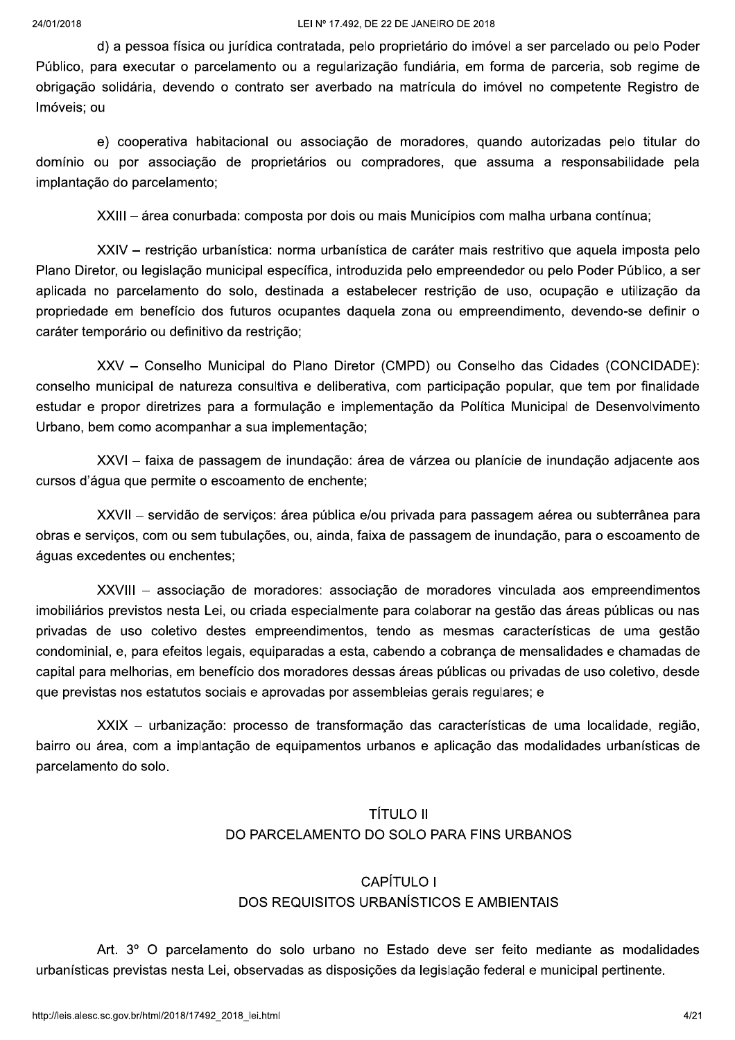d) a pessoa física ou jurídica contratada, pelo proprietário do imóvel a ser parcelado ou pelo Poder Público, para executar o parcelamento ou a regularização fundiária, em forma de parceria, sob regime de obrigação solidária, devendo o contrato ser averbado na matrícula do imóvel no competente Registro de Imóveis: ou

e) cooperativa habitacional ou associação de moradores, quando autorizadas pelo titular do domínio ou por associação de proprietários ou compradores, que assuma a responsabilidade pela implantação do parcelamento;

XXIII – área conurbada: composta por dois ou mais Municípios com malha urbana contínua;

XXIV - restrição urbanística: norma urbanística de caráter mais restritivo que aquela imposta pelo Plano Diretor, ou legislação municipal específica, introduzida pelo empreendedor ou pelo Poder Público, a ser aplicada no parcelamento do solo, destinada a estabelecer restrição de uso, ocupação e utilização da propriedade em benefício dos futuros ocupantes daquela zona ou empreendimento, devendo-se definir o caráter temporário ou definitivo da restrição;

XXV - Conselho Municipal do Plano Diretor (CMPD) ou Conselho das Cidades (CONCIDADE): conselho municipal de natureza consultiva e deliberativa, com participação popular, que tem por finalidade estudar e propor diretrizes para a formulação e implementação da Política Municipal de Desenvolvimento Urbano, bem como acompanhar a sua implementação;

XXVI – faixa de passagem de inundação: área de várzea ou planície de inundação adjacente aos cursos d'áqua que permite o escoamento de enchente;

XXVII - servidão de servicos: área pública e/ou privada para passagem aérea ou subterrânea para obras e servicos, com ou sem tubulações, ou, ainda, faixa de passagem de inundação, para o escoamento de águas excedentes ou enchentes;

XXVIII - associação de moradores: associação de moradores vinculada aos empreendimentos imobiliários previstos nesta Lei, ou criada especialmente para colaborar na gestão das áreas públicas ou nas privadas de uso coletivo destes empreendimentos, tendo as mesmas características de uma gestão condominial, e, para efeitos legais, equiparadas a esta, cabendo a cobrança de mensalidades e chamadas de capital para melhorias, em benefício dos moradores dessas áreas públicas ou privadas de uso coletivo, desde que previstas nos estatutos sociais e aprovadas por assembleias gerais regulares; e

XXIX - urbanização: processo de transformação das características de uma localidade, região, bairro ou área, com a implantação de equipamentos urbanos e aplicação das modalidades urbanísticas de parcelamento do solo.

# **TÍTULO II** DO PARCELAMENTO DO SOLO PARA FINS URBANOS

# CAPÍTULO I DOS REQUISITOS URBANÍSTICOS E AMBIENTAIS

Art. 3º O parcelamento do solo urbano no Estado deve ser feito mediante as modalidades urbanísticas previstas nesta Lei, observadas as disposições da legislação federal e municipal pertinente.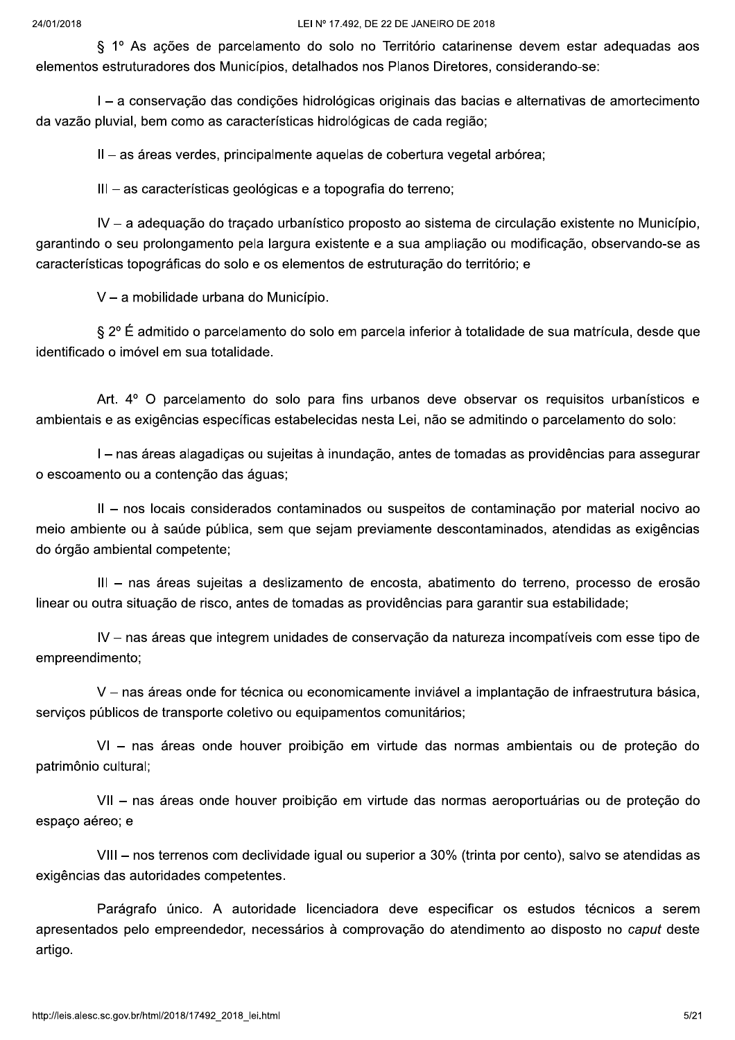§ 1º As ações de parcelamento do solo no Território catarinense devem estar adequadas aos elementos estruturadores dos Municípios, detalhados nos Planos Diretores, considerando-se:

I - a conservação das condições hidrológicas originais das bacias e alternativas de amortecimento da vazão pluvial, bem como as características hidrológicas de cada região;

II - as áreas verdes, principalmente aquelas de cobertura vegetal arbórea;

III - as características geológicas e a topografia do terreno;

IV - a adeguação do traçado urbanístico proposto ao sistema de circulação existente no Município, garantindo o seu prolongamento pela largura existente e a sua ampliação ou modificação, observando-se as características topográficas do solo e os elementos de estruturação do território; e

V - a mobilidade urbana do Município.

§ 2º É admitido o parcelamento do solo em parcela inferior à totalidade de sua matrícula, desde que identificado o imóvel em sua totalidade.

Art. 4° O parcelamento do solo para fins urbanos deve observar os requisitos urbanísticos e ambientais e as exigências específicas estabelecidas nesta Lei, não se admitindo o parcelamento do solo:

I – nas áreas alagadicas ou sujeitas à inundação, antes de tomadas as providências para assegurar o escoamento ou a contenção das águas;

II - nos locais considerados contaminados ou suspeitos de contaminação por material nocivo ao meio ambiente ou à saúde pública, sem que sejam previamente descontaminados, atendidas as exigências do órgão ambiental competente;

III - nas áreas sujeitas a deslizamento de encosta, abatimento do terreno, processo de erosão linear ou outra situação de risco, antes de tomadas as providências para garantir sua estabilidade;

IV – nas áreas que integrem unidades de conservação da natureza incompatíveis com esse tipo de empreendimento:

V - nas áreas onde for técnica ou economicamente inviável a implantação de infraestrutura básica, servicos públicos de transporte coletivo ou equipamentos comunitários;

VI - nas áreas onde houver proibição em virtude das normas ambientais ou de proteção do patrimônio cultural:

VII - nas áreas onde houver proibição em virtude das normas aeroportuárias ou de proteção do espaco aéreo: e

VIII - nos terrenos com declividade igual ou superior a 30% (trinta por cento), salvo se atendidas as exigências das autoridades competentes.

Parágrafo único. A autoridade licenciadora deve especificar os estudos técnicos a serem apresentados pelo empreendedor, necessários à comprovação do atendimento ao disposto no caput deste artigo.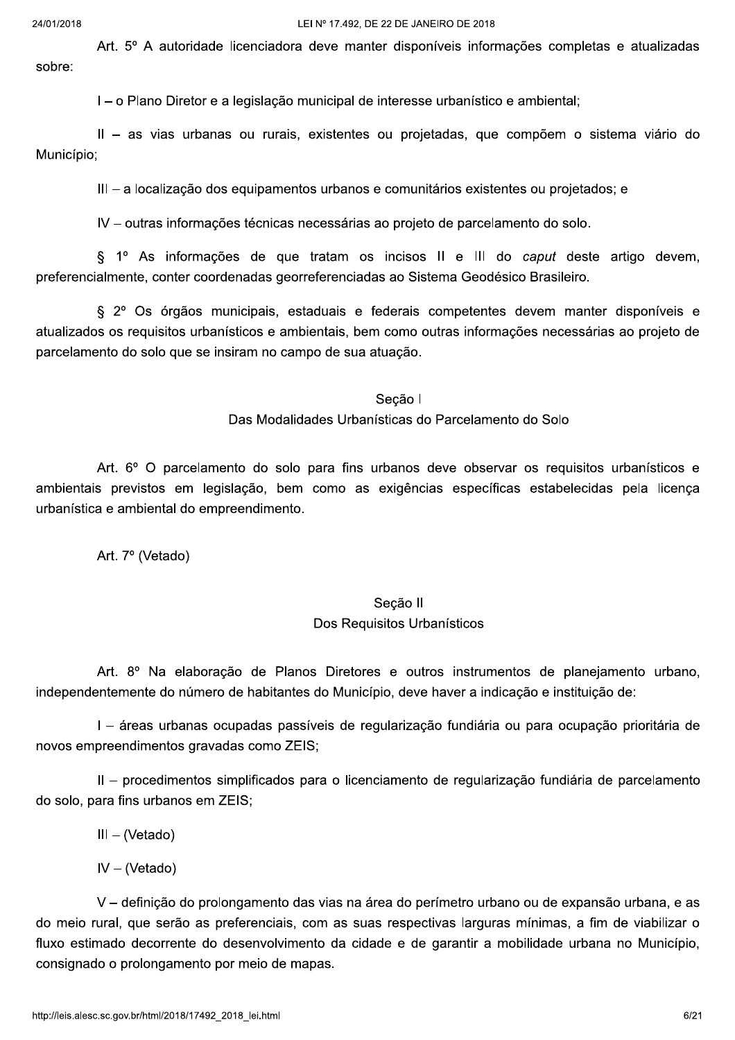Art. 5° A autoridade licenciadora deve manter disponíveis informações completas e atualizadas sobre:

I – o Plano Diretor e a legislação municipal de interesse urbanístico e ambiental;

II - as vias urbanas ou rurais, existentes ou projetadas, que compõem o sistema viário do Município;

III - a localização dos equipamentos urbanos e comunitários existentes ou projetados; e

IV - outras informações técnicas necessárias ao projeto de parcelamento do solo.

§ 1º As informações de que tratam os incisos II e III do caput deste artigo devem, preferencialmente, conter coordenadas georreferenciadas ao Sistema Geodésico Brasileiro.

§ 2º Os órgãos municipais, estaduais e federais competentes devem manter disponíveis e atualizados os requisitos urbanísticos e ambientais, bem como outras informações necessárias ao projeto de parcelamento do solo que se insiram no campo de sua atuação.

#### Secão I

Das Modalidades Urbanísticas do Parcelamento do Solo

Art. 6° O parcelamento do solo para fins urbanos deve observar os requisitos urbanísticos e ambientais previstos em legislação, bem como as exigências específicas estabelecidas pela licenca urbanística e ambiental do empreendimento.

Art. 7º (Vetado)

# Secão II Dos Requisitos Urbanísticos

Art. 8º Na elaboração de Planos Diretores e outros instrumentos de planejamento urbano. independentemente do número de habitantes do Município, deve haver a indicação e instituição de:

I - áreas urbanas ocupadas passíveis de regularização fundiária ou para ocupação prioritária de novos empreendimentos gravadas como ZEIS;

II - procedimentos simplificados para o licenciamento de regularização fundiária de parcelamento do solo, para fins urbanos em ZEIS;

 $III - (Vetado)$ 

 $IV - (Vetado)$ 

V – definicão do prolongamento das vias na área do perímetro urbano ou de expansão urbana, e as do meio rural, que serão as preferenciais, com as suas respectivas larguras mínimas, a fim de viabilizar o fluxo estimado decorrente do desenvolvimento da cidade e de garantir a mobilidade urbana no Município, consignado o prolongamento por meio de mapas.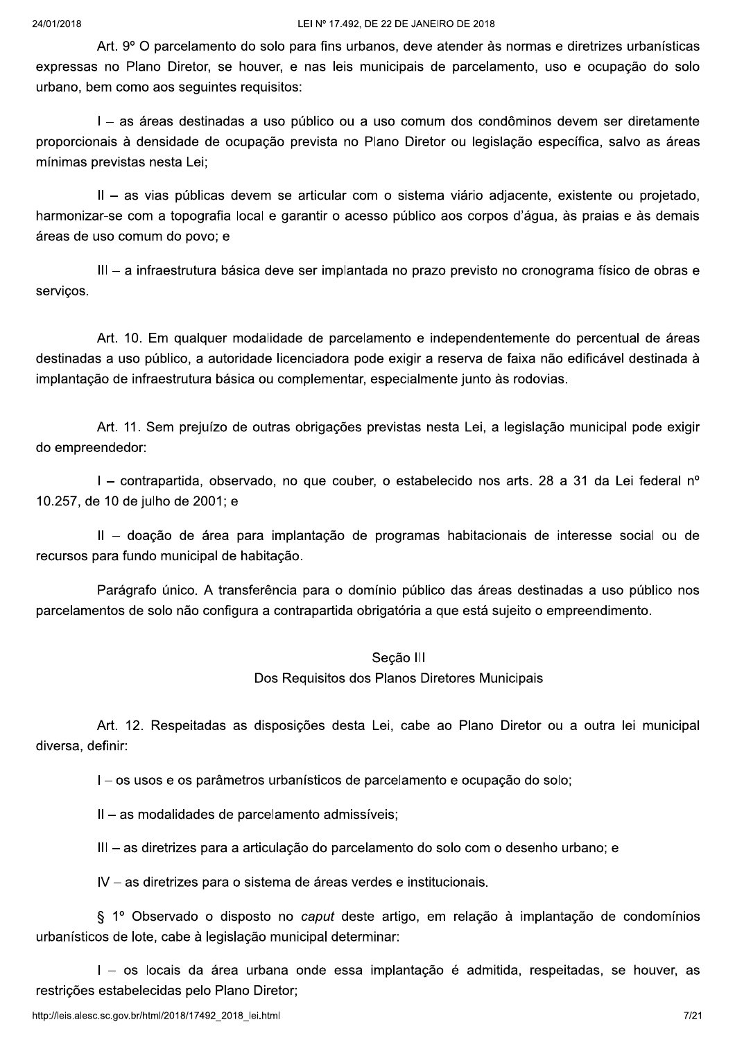Art. 9° O parcelamento do solo para fins urbanos, deve atender às normas e diretrizes urbanísticas expressas no Plano Diretor, se houver, e nas leis municipais de parcelamento, uso e ocupação do solo urbano, bem como aos sequintes requisitos:

I - as áreas destinadas a uso público ou a uso comum dos condôminos devem ser diretamente proporcionais à densidade de ocupação prevista no Plano Diretor ou legislação específica, salvo as áreas mínimas previstas nesta Lei;

II - as vias públicas devem se articular com o sistema viário adjacente, existente ou projetado, harmonizar-se com a topografia local e garantir o acesso público aos corpos d'água, às praias e às demais áreas de uso comum do povo; e

III – a infraestrutura básica deve ser implantada no prazo previsto no cronograma físico de obras e servicos.

Art. 10. Em qualquer modalidade de parcelamento e independentemente do percentual de áreas destinadas a uso público, a autoridade licenciadora pode exigir a reserva de faixa não edificável destinada à implantação de infraestrutura básica ou complementar, especialmente junto às rodovias.

Art. 11. Sem prejuízo de outras obrigações previstas nesta Lei, a legislação municipal pode exigir do empreendedor:

I - contrapartida, observado, no que couber, o estabelecido nos arts. 28 a 31 da Lei federal nº 10.257, de 10 de julho de 2001; e

II - doacão de área para implantacão de programas habitacionais de interesse social ou de recursos para fundo municipal de habitação.

Parágrafo único. A transferência para o domínio público das áreas destinadas a uso público nos parcelamentos de solo não configura a contrapartida obrigatória a que está sujeito o empreendimento.

## Secão III

Dos Requisitos dos Planos Diretores Municipais

Art. 12. Respeitadas as disposições desta Lei, cabe ao Plano Diretor ou a outra lei municipal diversa, definir:

I – os usos e os parâmetros urbanísticos de parcelamento e ocupação do solo:

II – as modalidades de parcelamento admissíveis:

III - as diretrizes para a articulação do parcelamento do solo com o desenho urbano; e

IV - as diretrizes para o sistema de áreas verdes e institucionais.

§ 1º Observado o disposto no caput deste artigo, em relação à implantação de condomínios urbanísticos de lote, cabe à legislação municipal determinar:

I – os locais da área urbana onde essa implantacão é admitida, respeitadas, se houver, as restrições estabelecidas pelo Plano Diretor;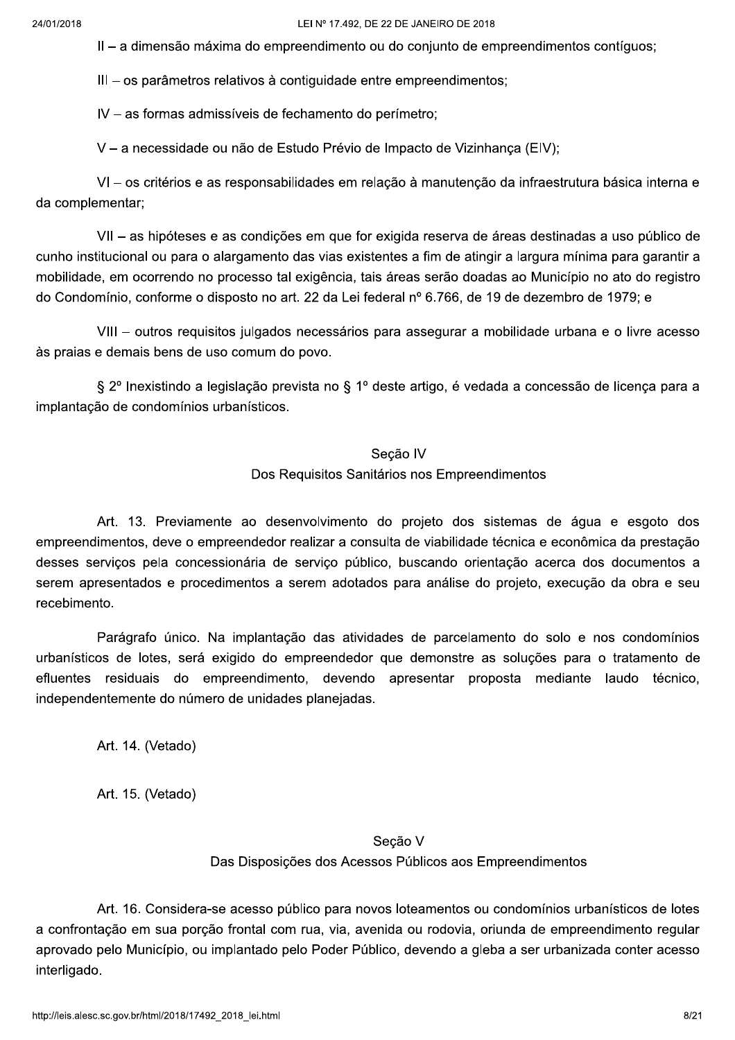II – a dimensão máxima do empreendimento ou do conjunto de empreendimentos contíguos;

III - os parâmetros relativos à contiguidade entre empreendimentos;

IV - as formas admissíveis de fechamento do perímetro;

V - a necessidade ou não de Estudo Prévio de Impacto de Vizinhança (EIV);

VI - os critérios e as responsabilidades em relação à manutenção da infraestrutura básica interna e da complementar;

VII - as hipóteses e as condições em que for exigida reserva de áreas destinadas a uso público de cunho institucional ou para o alargamento das vias existentes a fim de atingir a largura mínima para garantir a mobilidade, em ocorrendo no processo tal exigência, tais áreas serão doadas ao Município no ato do registro do Condomínio, conforme o disposto no art. 22 da Lei federal nº 6.766, de 19 de dezembro de 1979; e

VIII - outros requisitos julgados necessários para assegurar a mobilidade urbana e o livre acesso às praias e demais bens de uso comum do povo.

§ 2º Inexistindo a legislação prevista no § 1º deste artigo, é vedada a concessão de licença para a implantação de condomínios urbanísticos.

# Secão IV Dos Requisitos Sanitários nos Empreendimentos

Art. 13. Previamente ao desenvolvimento do projeto dos sistemas de água e esgoto dos empreendimentos, deve o empreendedor realizar a consulta de viabilidade técnica e econômica da prestação desses servicos pela concessionária de servico público, buscando orientação acerca dos documentos a serem apresentados e procedimentos a serem adotados para análise do projeto, execução da obra e seu recebimento.

Parágrafo único. Na implantação das atividades de parcelamento do solo e nos condomínios urbanísticos de lotes, será exigido do empreendedor que demonstre as soluções para o tratamento de efluentes residuais do empreendimento, devendo apresentar proposta mediante laudo técnico, independentemente do número de unidades planejadas.

Art. 14. (Vetado)

Art. 15. (Vetado)

# Secão V Das Disposições dos Acessos Públicos aos Empreendimentos

Art. 16. Considera-se acesso público para novos loteamentos ou condomínios urbanísticos de lotes a confrontação em sua porção frontal com rua, via, avenida ou rodovia, oriunda de empreendimento regular aprovado pelo Município, ou implantado pelo Poder Público, devendo a gleba a ser urbanizada conter acesso interligado.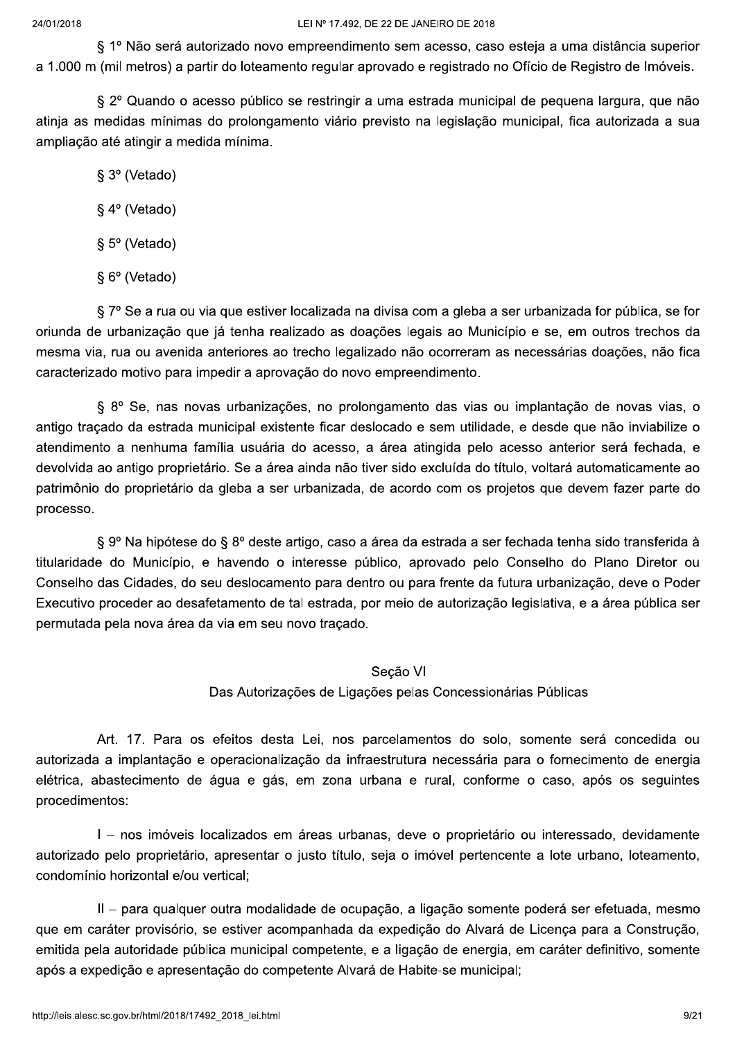§ 1º Não será autorizado novo empreendimento sem acesso, caso esteja a uma distância superior a 1.000 m (mil metros) a partir do loteamento regular aprovado e registrado no Ofício de Registro de Imóveis.

§ 2º Quando o acesso público se restringir a uma estrada municipal de pequena largura, que não atinja as medidas mínimas do prolongamento viário previsto na legislação municipal, fica autorizada a sua ampliação até atingir a medida mínima.

### § 3º (Vetado)

- § 4º (Vetado)
- § 5° (Vetado)
- § 6° (Vetado)

§ 7º Se a rua ou via que estiver localizada na divisa com a gleba a ser urbanizada for pública, se for oriunda de urbanização que já tenha realizado as doações legais ao Município e se, em outros trechos da mesma via, rua ou avenida anteriores ao trecho legalizado não ocorreram as necessárias doações, não fica caracterizado motivo para impedir a aprovação do novo empreendimento.

§ 8º Se, nas novas urbanizações, no prolongamento das vias ou implantação de novas vias, o antigo tracado da estrada municipal existente ficar deslocado e sem utilidade, e desde que não inviabilize o atendimento a nenhuma família usuária do acesso, a área atingida pelo acesso anterior será fechada, e devolvida ao antigo proprietário. Se a área ainda não tiver sido excluída do título, voltará automaticamente ao patrimônio do proprietário da gleba a ser urbanizada, de acordo com os projetos que devem fazer parte do processo.

§ 9º Na hipótese do § 8º deste artigo, caso a área da estrada a ser fechada tenha sido transferida à titularidade do Município, e havendo o interesse público, aprovado pelo Conselho do Plano Diretor ou Conselho das Cidades, do seu deslocamento para dentro ou para frente da futura urbanização, deve o Poder Executivo proceder ao desafetamento de tal estrada, por meio de autorização legislativa, e a área pública ser permutada pela nova área da via em seu novo traçado.

### Secão VI

Das Autorizações de Ligações pelas Concessionárias Públicas

Art. 17. Para os efeitos desta Lei, nos parcelamentos do solo, somente será concedida ou autorizada a implantação e operacionalização da infraestrutura necessária para o fornecimento de energia elétrica, abastecimento de água e gás, em zona urbana e rural, conforme o caso, após os seguintes procedimentos:

I - nos imóveis localizados em áreas urbanas, deve o proprietário ou interessado, devidamente autorizado pelo proprietário, apresentar o justo título, seja o imóvel pertencente a lote urbano, loteamento, condomínio horizontal e/ou vertical;

II - para qualquer outra modalidade de ocupação, a ligação somente poderá ser efetuada, mesmo que em caráter provisório, se estiver acompanhada da expedição do Alvará de Licenca para a Construção, emitida pela autoridade pública municipal competente, e a ligação de energia, em caráter definitivo, somente após a expedição e apresentação do competente Alvará de Habite-se municipal: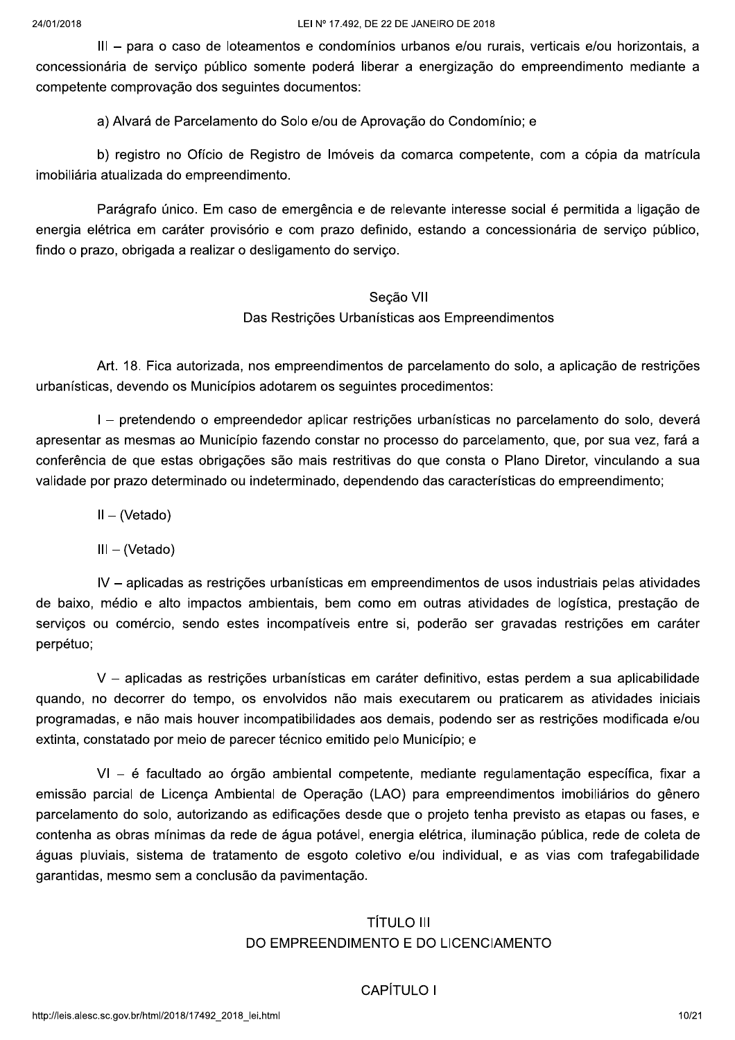III - para o caso de loteamentos e condomínios urbanos e/ou rurais, verticais e/ou horizontais, a concessionária de serviço público somente poderá liberar a energização do empreendimento mediante a competente comprovação dos seguintes documentos:

a) Alvará de Parcelamento do Solo e/ou de Aprovação do Condomínio; e

b) registro no Ofício de Registro de Imóveis da comarca competente, com a cópia da matrícula imobiliária atualizada do empreendimento.

Parágrafo único. Em caso de emergência e de relevante interesse social é permitida a ligação de energia elétrica em caráter provisório e com prazo definido, estando a concessionária de servico público, findo o prazo, obrigada a realizar o desligamento do serviço.

# Seção VII Das Restrições Urbanísticas aos Empreendimentos

Art. 18. Fica autorizada, nos empreendimentos de parcelamento do solo, a aplicação de restrições urbanísticas, devendo os Municípios adotarem os seguintes procedimentos:

I - pretendendo o empreendedor aplicar restrições urbanísticas no parcelamento do solo, deverá apresentar as mesmas ao Município fazendo constar no processo do parcelamento, que, por sua vez, fará a conferência de que estas obrigações são mais restritivas do que consta o Plano Diretor, vinculando a sua validade por prazo determinado ou indeterminado, dependendo das características do empreendimento;

 $II - (Vetado)$ 

 $III - (Vetado)$ 

IV - aplicadas as restrições urbanísticas em empreendimentos de usos industriais pelas atividades de baixo, médio e alto impactos ambientais, bem como em outras atividades de logística, prestação de serviços ou comércio, sendo estes incompatíveis entre si, poderão ser gravadas restrições em caráter perpétuo;

V - aplicadas as restrições urbanísticas em caráter definitivo, estas perdem a sua aplicabilidade guando, no decorrer do tempo, os envolvidos não mais executarem ou praticarem as atividades iniciais programadas, e não mais houver incompatibilidades aos demais, podendo ser as restrições modificada e/ou extinta, constatado por meio de parecer técnico emitido pelo Município; e

VI - é facultado ao órgão ambiental competente, mediante regulamentação específica, fixar a emissão parcial de Licenca Ambiental de Operacão (LAO) para empreendimentos imobiliários do gênero parcelamento do solo, autorizando as edificações desde que o projeto tenha previsto as etapas ou fases, e contenha as obras mínimas da rede de água potável, energia elétrica, iluminação pública, rede de coleta de águas pluviais, sistema de tratamento de esgoto coletivo e/ou individual, e as vias com trafegabilidade garantidas, mesmo sem a conclusão da pavimentação.

# **TÍTULO III** DO EMPREENDIMENTO E DO LICENCIAMENTO

## CAPÍTULO I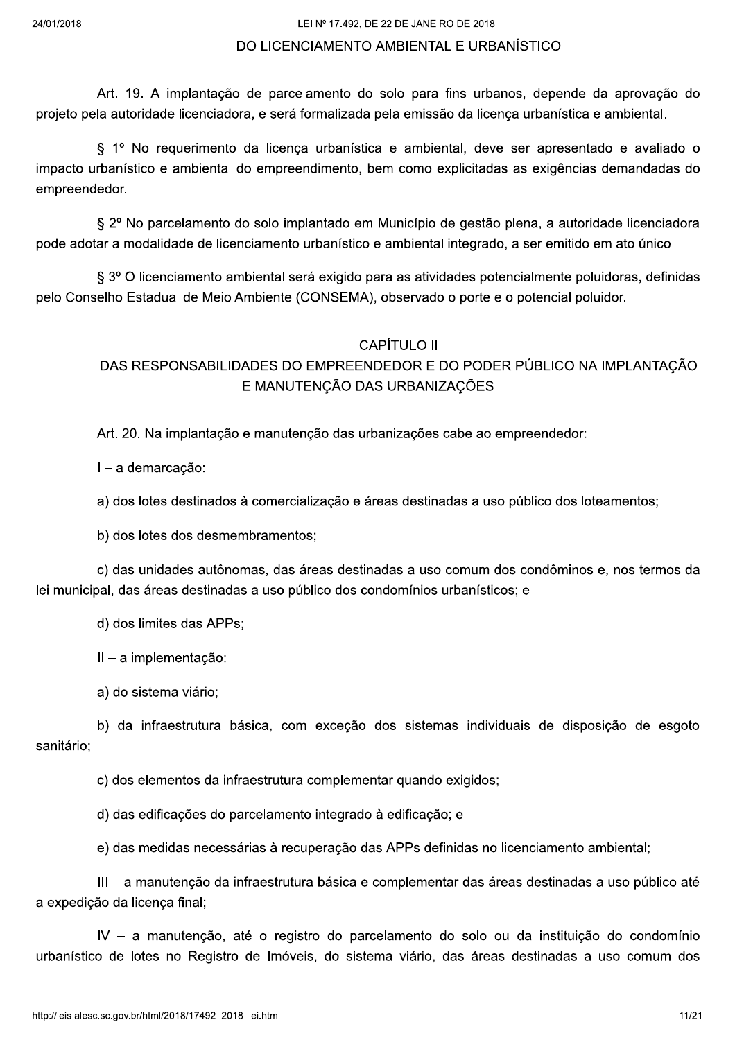## DO LICENCIAMENTO AMBIENTAL E URBANÍSTICO

Art. 19. A implantação de parcelamento do solo para fins urbanos, depende da aprovação do projeto pela autoridade licenciadora, e será formalizada pela emissão da licença urbanística e ambiental.

§ 1º No requerimento da licença urbanística e ambiental, deve ser apresentado e avaliado o impacto urbanístico e ambiental do empreendimento, bem como explicitadas as exigências demandadas do empreendedor.

§ 2º No parcelamento do solo implantado em Município de gestão plena, a autoridade licenciadora pode adotar a modalidade de licenciamento urbanístico e ambiental integrado, a ser emitido em ato único.

§ 3º O licenciamento ambiental será exigido para as atividades potencialmente poluidoras, definidas pelo Conselho Estadual de Meio Ambiente (CONSEMA), observado o porte e o potencial poluidor.

## **CAPÍTULO II**

# DAS RESPONSABILIDADES DO EMPREENDEDOR E DO PODER PÚBLICO NA IMPLANTAÇÃO E MANUTENÇÃO DAS URBANIZAÇÕES

Art. 20. Na implantação e manutenção das urbanizações cabe ao empreendedor:

I - a demarcação:

a) dos lotes destinados à comercialização e áreas destinadas a uso público dos loteamentos;

b) dos lotes dos desmembramentos;

c) das unidades autônomas, das áreas destinadas a uso comum dos condôminos e, nos termos da lei municipal, das áreas destinadas a uso público dos condomínios urbanísticos; e

d) dos limites das APPs;

 $II - a$  implementação:

a) do sistema viário;

b) da infraestrutura básica, com exceção dos sistemas individuais de disposição de esgoto sanitário:

c) dos elementos da infraestrutura complementar quando exigidos:

d) das edificações do parcelamento integrado à edificação; e

e) das medidas necessárias à recuperação das APPs definidas no licenciamento ambiental;

III - a manutenção da infraestrutura básica e complementar das áreas destinadas a uso público até a expedição da licença final;

IV - a manutenção, até o registro do parcelamento do solo ou da instituição do condomínio urbanístico de lotes no Registro de Imóveis, do sistema viário, das áreas destinadas a uso comum dos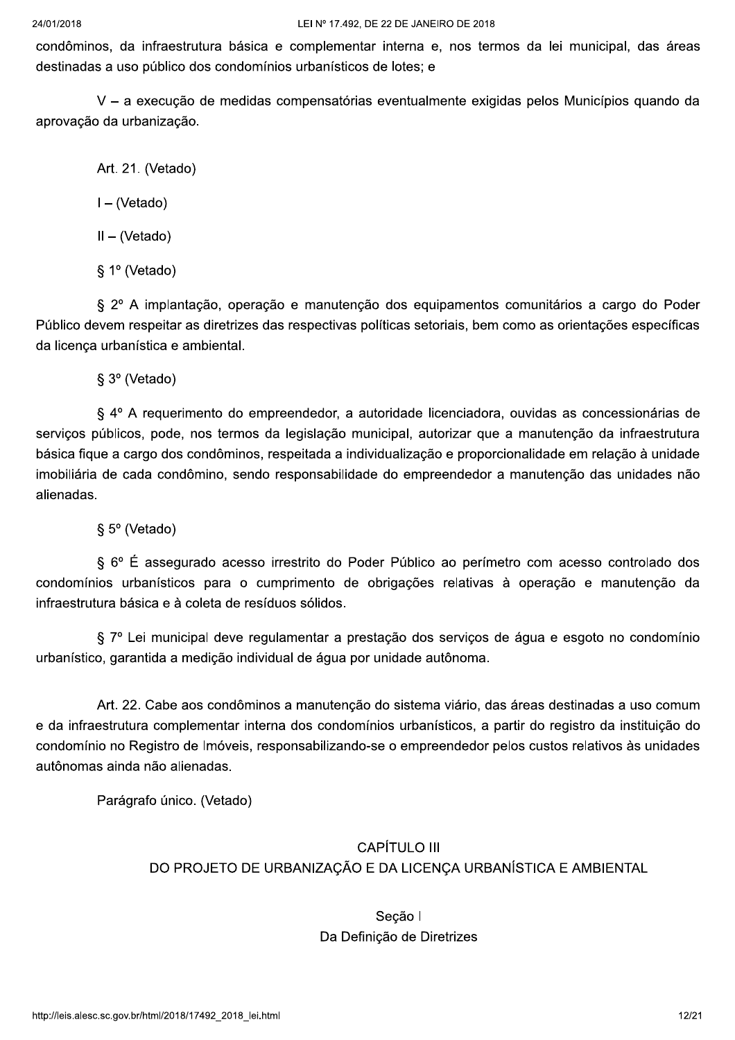#### 24/01/2018

condôminos, da infraestrutura básica e complementar interna e, nos termos da lei municipal, das áreas destinadas a uso público dos condomínios urbanísticos de lotes; e

V - a execução de medidas compensatórias eventualmente exigidas pelos Municípios quando da aprovação da urbanização.

Art. 21. (Vetado)

 $I - (Vetado)$ 

 $II - (Vetado)$ 

§ 1º (Vetado)

§ 2º A implantação, operação e manutenção dos equipamentos comunitários a cargo do Poder Público devem respeitar as diretrizes das respectivas políticas setoriais, bem como as orientações específicas da licenca urbanística e ambiental.

§ 3º (Vetado)

§ 4º A requerimento do empreendedor, a autoridade licenciadora, ouvidas as concessionárias de servicos públicos, pode, nos termos da legislação municipal, autorizar que a manutenção da infraestrutura básica figue a cargo dos condôminos, respeitada a individualização e proporcionalidade em relação à unidade imobiliária de cada condômino, sendo responsabilidade do empreendedor a manutenção das unidades não alienadas.

§ 5° (Vetado)

§ 6° É assegurado acesso irrestrito do Poder Público ao perímetro com acesso controlado dos condomínios urbanísticos para o cumprimento de obrigações relativas à operação e manutenção da infraestrutura básica e à coleta de resíduos sólidos.

§ 7º Lei municipal deve regulamentar a prestação dos serviços de água e esgoto no condomínio urbanístico, garantida a medicão individual de água por unidade autônoma.

Art. 22. Cabe aos condôminos a manutenção do sistema viário, das áreas destinadas a uso comum e da infraestrutura complementar interna dos condomínios urbanísticos, a partir do registro da instituição do condomínio no Registro de Imóveis, responsabilizando-se o empreendedor pelos custos relativos às unidades autônomas ainda não alienadas.

Parágrafo único. (Vetado)

# **CAPÍTULO III** DO PROJETO DE URBANIZAÇÃO E DA LICENÇA URBANÍSTICA E AMBIENTAL

# Seção I Da Definição de Diretrizes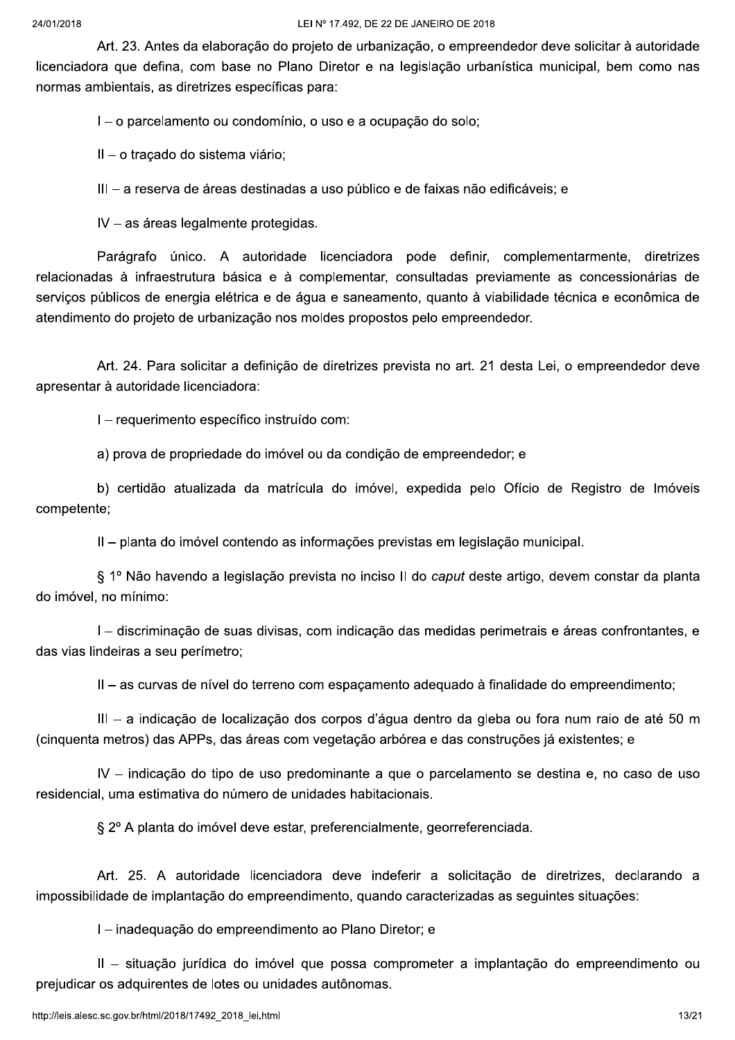Art. 23. Antes da elaboração do projeto de urbanização, o empreendedor deve solicitar à autoridade licenciadora que defina, com base no Plano Diretor e na legislação urbanística municipal, bem como nas normas ambientais, as diretrizes específicas para:

I – o parcelamento ou condomínio, o uso e a ocupação do solo;

II - o traçado do sistema viário;

III - a reserva de áreas destinadas a uso público e de faixas não edificáveis; e

IV - as áreas legalmente protegidas.

Parágrafo único. A autoridade licenciadora pode definir, complementarmente, diretrizes relacionadas à infraestrutura básica e à complementar, consultadas previamente as concessionárias de servicos públicos de energia elétrica e de água e saneamento, quanto à viabilidade técnica e econômica de atendimento do projeto de urbanização nos moldes propostos pelo empreendedor.

Art. 24. Para solicitar a definicão de diretrizes prevista no art. 21 desta Lei, o empreendedor deve apresentar à autoridade licenciadora:

I - requerimento específico instruído com:

a) prova de propriedade do imóvel ou da condição de empreendedor; e

b) certidão atualizada da matrícula do imóvel, expedida pelo Ofício de Registro de Imóveis competente;

II - planta do imóvel contendo as informações previstas em legislação municipal.

§ 1º Não havendo a legislação prevista no inciso II do caput deste artigo, devem constar da planta do imóvel, no mínimo:

I – discriminação de suas divisas, com indicação das medidas perimetrais e áreas confrontantes, e das vias lindeiras a seu perímetro;

II – as curvas de nível do terreno com espacamento adequado à finalidade do empreendimento;

III - a indicação de localização dos corpos d'água dentro da gleba ou fora num raio de até 50 m (cinquenta metros) das APPs, das áreas com vegetação arbórea e das construções já existentes; e

IV – indicação do tipo de uso predominante a que o parcelamento se destina e, no caso de uso residencial, uma estimativa do número de unidades habitacionais.

§ 2º A planta do imóvel deve estar, preferencialmente, georreferenciada.

Art. 25. A autoridade licenciadora deve indeferir a solicitação de diretrizes, declarando a impossibilidade de implantação do empreendimento, quando caracterizadas as seguintes situações:

I - inadequação do empreendimento ao Plano Diretor; e

II - situação jurídica do imóvel que possa comprometer a implantação do empreendimento ou prejudicar os adquirentes de lotes ou unidades autônomas.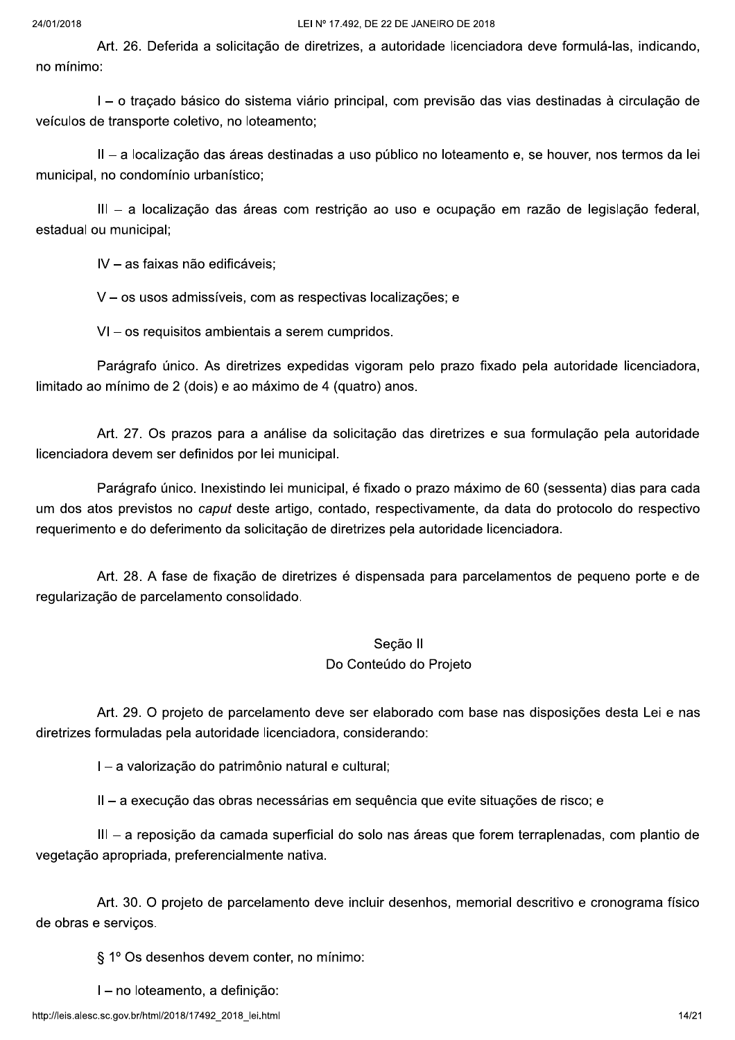Art. 26. Deferida a solicitação de diretrizes, a autoridade licenciadora deve formulá-las, indicando, no mínimo:

I – o tracado básico do sistema viário principal, com previsão das vias destinadas à circulação de veículos de transporte coletivo, no loteamento;

II - a localização das áreas destinadas a uso público no loteamento e, se houver, nos termos da lei municipal, no condomínio urbanístico;

III - a localização das áreas com restrição ao uso e ocupação em razão de legislação federal, estadual ou municipal;

IV - as faixas não edificáveis;

V - os usos admissíveis, com as respectivas localizações; e

VI - os requisitos ambientais a serem cumpridos.

Parágrafo único. As diretrizes expedidas vigoram pelo prazo fixado pela autoridade licenciadora, limitado ao mínimo de 2 (dois) e ao máximo de 4 (quatro) anos.

Art. 27. Os prazos para a análise da solicitação das diretrizes e sua formulação pela autoridade licenciadora devem ser definidos por lei municipal.

Parágrafo único. Inexistindo lei municipal, é fixado o prazo máximo de 60 (sessenta) dias para cada um dos atos previstos no caput deste artigo, contado, respectivamente, da data do protocolo do respectivo requerimento e do deferimento da solicitação de diretrizes pela autoridade licenciadora.

Art. 28. A fase de fixação de diretrizes é dispensada para parcelamentos de pequeno porte e de regularização de parcelamento consolidado.

# Seção II

## Do Conteúdo do Projeto

Art. 29. O projeto de parcelamento deve ser elaborado com base nas disposições desta Lei e nas diretrizes formuladas pela autoridade licenciadora, considerando:

I - a valorização do patrimônio natural e cultural;

II - a execução das obras necessárias em sequência que evite situações de risco; e

III – a reposição da camada superficial do solo nas áreas que forem terraplenadas, com plantio de vegetação apropriada, preferencialmente nativa.

Art. 30. O projeto de parcelamento deve incluir desenhos, memorial descritivo e cronograma físico de obras e servicos.

§ 1º Os desenhos devem conter, no mínimo:

I - no loteamento, a definição: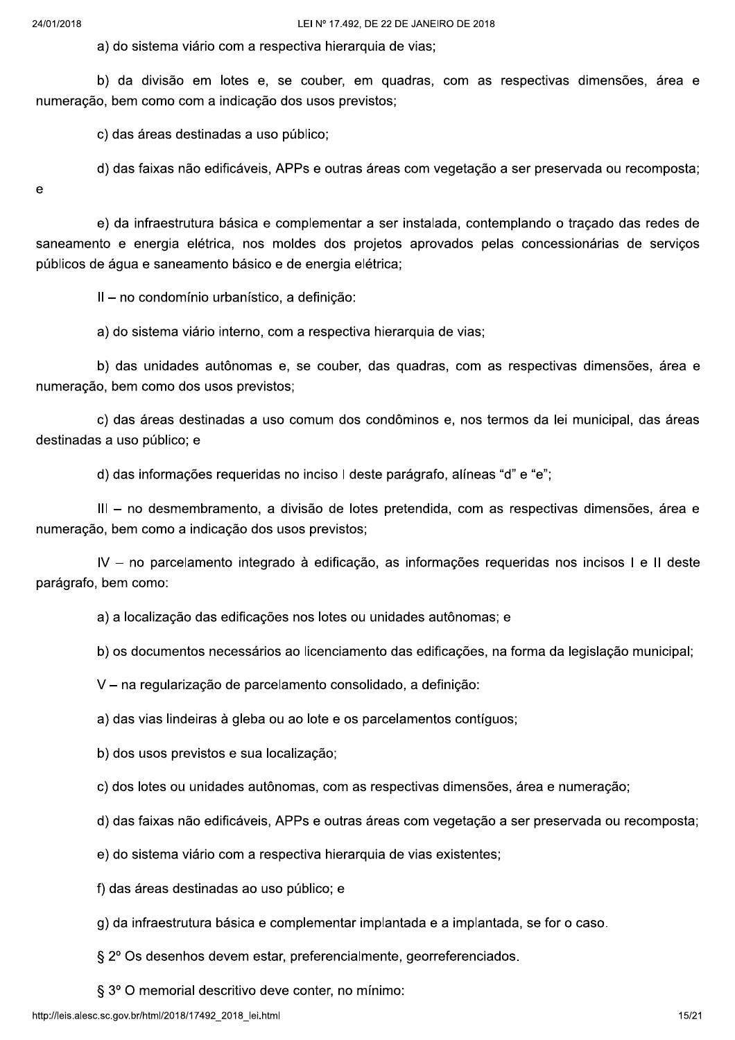a) do sistema viário com a respectiva hierarquia de vias;

b) da divisão em lotes e, se couber, em quadras, com as respectivas dimensões, área e numeração, bem como com a indicação dos usos previstos;

c) das áreas destinadas a uso público;

d) das faixas não edificáveis, APPs e outras áreas com vegetação a ser preservada ou recomposta;

 $\mathbf e$ 

e) da infraestrutura básica e complementar a ser instalada, contemplando o tracado das redes de saneamento e energia elétrica, nos moldes dos projetos aprovados pelas concessionárias de serviços públicos de áqua e saneamento básico e de energia elétrica;

II - no condomínio urbanístico, a definição:

a) do sistema viário interno, com a respectiva hierarquia de vias;

b) das unidades autônomas e, se couber, das quadras, com as respectivas dimensões, área e numeração, bem como dos usos previstos;

c) das áreas destinadas a uso comum dos condôminos e, nos termos da lei municipal, das áreas destinadas a uso público; e

d) das informações requeridas no inciso I deste parágrafo, alíneas "d" e "e";

III - no desmembramento, a divisão de lotes pretendida, com as respectivas dimensões, área e numeração, bem como a indicação dos usos previstos;

IV - no parcelamento integrado à edificação, as informações requeridas nos incisos I e II deste parágrafo, bem como:

a) a localização das edificações nos lotes ou unidades autônomas; e

b) os documentos necessários ao licenciamento das edificações, na forma da legislação municipal;

V - na regularização de parcelamento consolidado, a definição:

a) das vias lindeiras à gleba ou ao lote e os parcelamentos contíguos;

b) dos usos previstos e sua localização;

c) dos lotes ou unidades autônomas, com as respectivas dimensões, área e numeração;

d) das faixas não edificáveis, APPs e outras áreas com vegetação a ser preservada ou recomposta;

e) do sistema viário com a respectiva hierarquia de vias existentes;

f) das áreas destinadas ao uso público; e

g) da infraestrutura básica e complementar implantada e a implantada, se for o caso.

§ 2º Os desenhos devem estar, preferencialmente, georreferenciados.

§ 3° O memorial descritivo deve conter, no mínimo: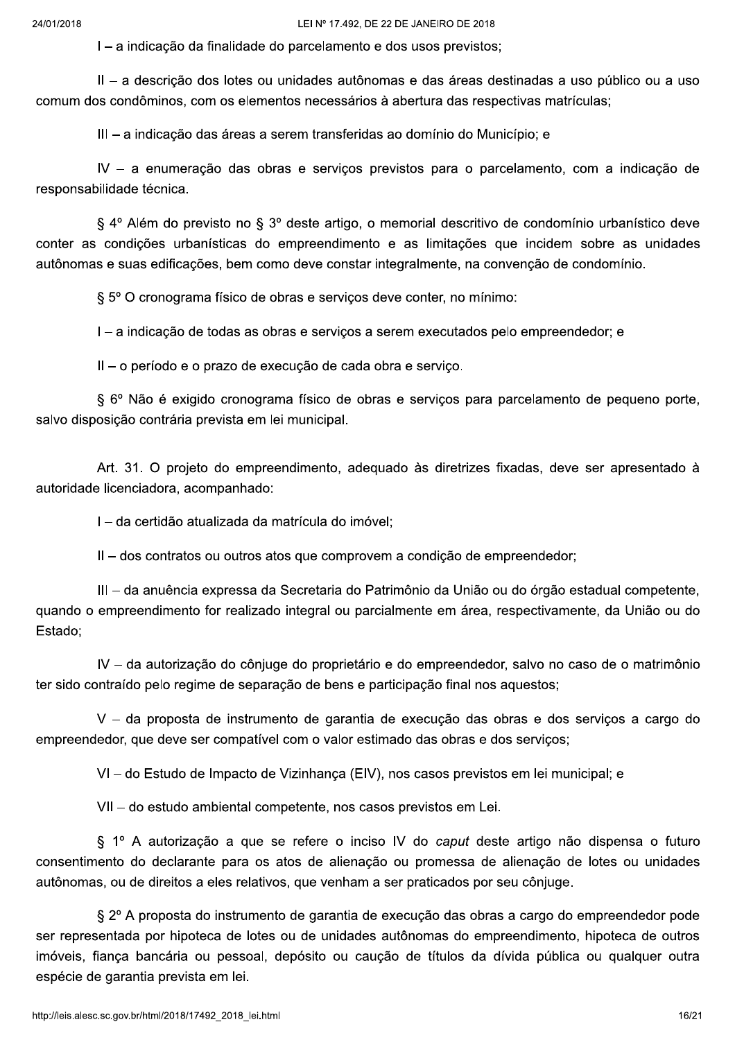I - a indicação da finalidade do parcelamento e dos usos previstos;

II - a descrição dos lotes ou unidades autônomas e das áreas destinadas a uso público ou a uso comum dos condôminos, com os elementos necessários à abertura das respectivas matrículas;

III - a indicação das áreas a serem transferidas ao domínio do Município; e

IV - a enumeração das obras e serviços previstos para o parcelamento, com a indicação de responsabilidade técnica.

§ 4º Além do previsto no § 3º deste artigo, o memorial descritivo de condomínio urbanístico deve conter as condições urbanísticas do empreendimento e as limitações que incidem sobre as unidades autônomas e suas edificações, bem como deve constar integralmente, na convenção de condomínio.

§ 5° O cronograma físico de obras e serviços deve conter, no mínimo:

I - a indicação de todas as obras e serviços a serem executados pelo empreendedor; e

II - o período e o prazo de execução de cada obra e serviço.

§ 6º Não é exigido cronograma físico de obras e servicos para parcelamento de pequeno porte, salvo disposição contrária prevista em lei municipal.

Art. 31. O projeto do empreendimento, adequado às diretrizes fixadas, deve ser apresentado à autoridade licenciadora, acompanhado:

I - da certidão atualizada da matrícula do imóvel;

II - dos contratos ou outros atos que comprovem a condição de empreendedor;

III - da anuência expressa da Secretaria do Patrimônio da União ou do órgão estadual competente, guando o empreendimento for realizado integral ou parcialmente em área, respectivamente, da União ou do Estado:

IV - da autorização do cônjuge do proprietário e do empreendedor, salvo no caso de o matrimônio ter sido contraído pelo regime de separação de bens e participação final nos aquestos;

V - da proposta de instrumento de garantia de execução das obras e dos serviços a cargo do empreendedor, que deve ser compatível com o valor estimado das obras e dos servicos;

VI – do Estudo de Impacto de Vizinhança (EIV), nos casos previstos em lei municipal; e

VII - do estudo ambiental competente, nos casos previstos em Lei.

§ 1º A autorização a que se refere o inciso IV do caput deste artigo não dispensa o futuro consentimento do declarante para os atos de alienação ou promessa de alienação de lotes ou unidades autônomas, ou de direitos a eles relativos, que venham a ser praticados por seu cônjuge.

§ 2º A proposta do instrumento de garantia de execução das obras a cargo do empreendedor pode ser representada por hipoteca de lotes ou de unidades autônomas do empreendimento, hipoteca de outros imóveis, fiança bancária ou pessoal, depósito ou caução de títulos da dívida pública ou qualquer outra espécie de garantia prevista em lei.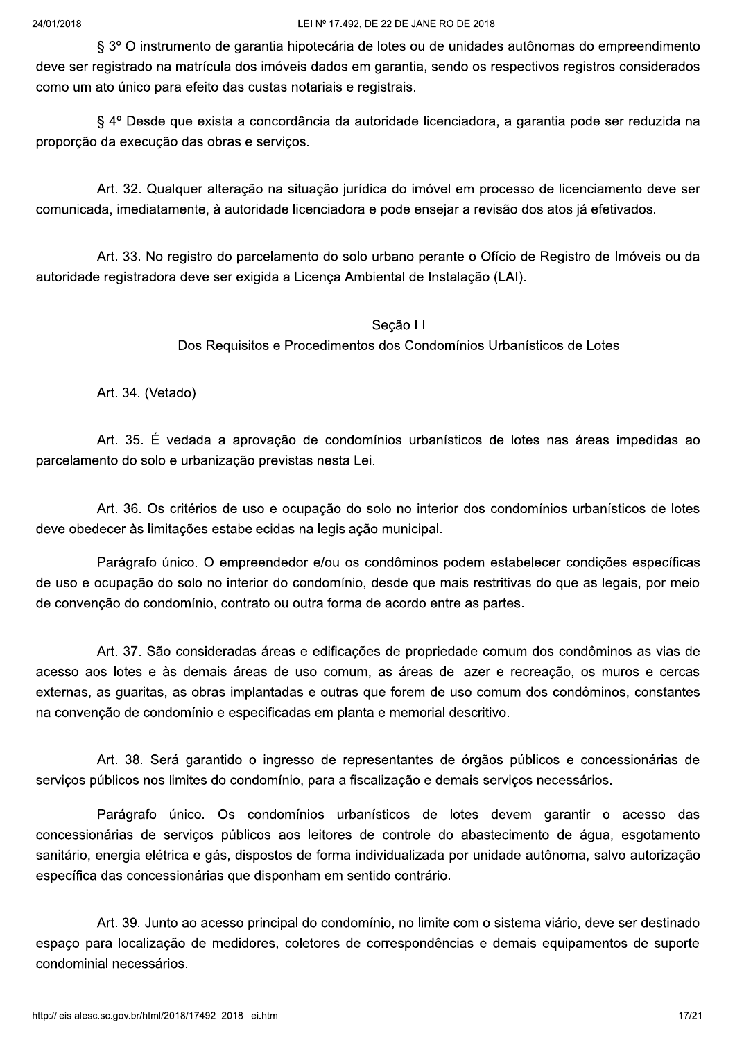§ 3° O instrumento de garantia hipotecária de lotes ou de unidades autônomas do empreendimento deve ser registrado na matrícula dos imóveis dados em garantia, sendo os respectivos registros considerados como um ato único para efeito das custas notariais e registrais.

§ 4º Desde que exista a concordância da autoridade licenciadora, a garantia pode ser reduzida na proporção da execução das obras e serviços.

Art. 32. Qualquer alteração na situação jurídica do imóvel em processo de licenciamento deve ser comunicada, imediatamente, à autoridade licenciadora e pode ensejar a revisão dos atos já efetivados.

Art. 33. No registro do parcelamento do solo urbano perante o Ofício de Registro de Imóveis ou da autoridade registradora deve ser exigida a Licença Ambiental de Instalação (LAI).

# Seção III Dos Requisitos e Procedimentos dos Condomínios Urbanísticos de Lotes

Art. 34. (Vetado)

Art. 35. É vedada a aprovação de condomínios urbanísticos de lotes nas áreas impedidas ao parcelamento do solo e urbanização previstas nesta Lei.

Art. 36. Os critérios de uso e ocupação do solo no interior dos condomínios urbanísticos de lotes deve obedecer às limitações estabelecidas na legislação municipal.

Parágrafo único. O empreendedor e/ou os condôminos podem estabelecer condições específicas de uso e ocupação do solo no interior do condomínio, desde que mais restritivas do que as legais, por meio de convenção do condomínio, contrato ou outra forma de acordo entre as partes.

Art. 37. São consideradas áreas e edificações de propriedade comum dos condôminos as vias de acesso aos lotes e às demais áreas de uso comum, as áreas de lazer e recreação, os muros e cercas externas, as guaritas, as obras implantadas e outras que forem de uso comum dos condôminos, constantes na convenção de condomínio e especificadas em planta e memorial descritivo.

Art. 38. Será garantido o ingresso de representantes de órgãos públicos e concessionárias de servicos públicos nos limites do condomínio, para a fiscalização e demais servicos necessários.

Parágrafo único. Os condomínios urbanísticos de lotes devem garantir o acesso das concessionárias de servicos públicos aos leitores de controle do abastecimento de água, esgotamento sanitário, energia elétrica e gás, dispostos de forma individualizada por unidade autônoma, salvo autorização específica das concessionárias que disponham em sentido contrário.

Art. 39. Junto ao acesso principal do condomínio, no limite com o sistema viário, deve ser destinado espaço para localização de medidores, coletores de correspondências e demais equipamentos de suporte condominial necessários.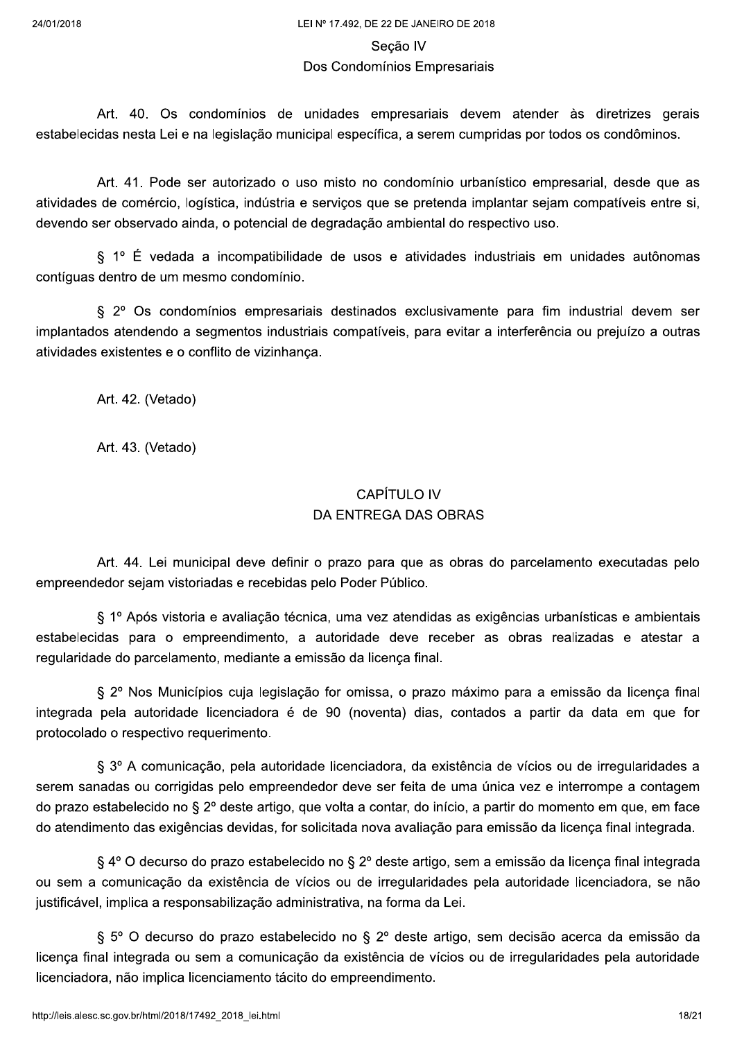#### Seção IV

### Dos Condomínios Empresariais

Art. 40. Os condomínios de unidades empresariais devem atender às diretrizes gerais estabelecidas nesta Lei e na legislação municipal específica, a serem cumpridas por todos os condôminos.

Art. 41. Pode ser autorizado o uso misto no condomínio urbanístico empresarial, desde que as atividades de comércio, logística, indústria e servicos que se pretenda implantar sejam compatíveis entre si, devendo ser observado ainda, o potencial de degradação ambiental do respectivo uso.

§ 1º É vedada a incompatibilidade de usos e atividades industriais em unidades autônomas contíguas dentro de um mesmo condomínio.

§ 2º Os condomínios empresariais destinados exclusivamente para fim industrial devem ser implantados atendendo a segmentos industriais compatíveis, para evitar a interferência ou prejuízo a outras atividades existentes e o conflito de vizinhança.

Art. 42. (Vetado)

Art. 43. (Vetado)

# **CAPÍTULO IV DA ENTREGA DAS OBRAS**

Art. 44. Lei municipal deve definir o prazo para que as obras do parcelamento executadas pelo empreendedor sejam vistoriadas e recebidas pelo Poder Público.

§ 1º Após vistoria e avaliação técnica, uma vez atendidas as exigências urbanísticas e ambientais estabelecidas para o empreendimento, a autoridade deve receber as obras realizadas e atestar a regularidade do parcelamento, mediante a emissão da licenca final.

§ 2º Nos Municípios cuja legislação for omissa, o prazo máximo para a emissão da licença final integrada pela autoridade licenciadora é de 90 (noventa) dias, contados a partir da data em que for protocolado o respectivo requerimento.

§ 3º A comunicação, pela autoridade licenciadora, da existência de vícios ou de irregularidades a serem sanadas ou corrigidas pelo empreendedor deve ser feita de uma única vez e interrompe a contagem do prazo estabelecido no § 2º deste artigo, que volta a contar, do início, a partir do momento em que, em face do atendimento das exigências devidas, for solicitada nova avaliação para emissão da licença final integrada.

§ 4º O decurso do prazo estabelecido no § 2º deste artigo, sem a emissão da licença final integrada ou sem a comunicação da existência de vícios ou de irregularidades pela autoridade licenciadora, se não justificável, implica a responsabilização administrativa, na forma da Lei.

§ 5º O decurso do prazo estabelecido no § 2º deste artigo, sem decisão acerca da emissão da licença final integrada ou sem a comunicação da existência de vícios ou de irregularidades pela autoridade licenciadora, não implica licenciamento tácito do empreendimento.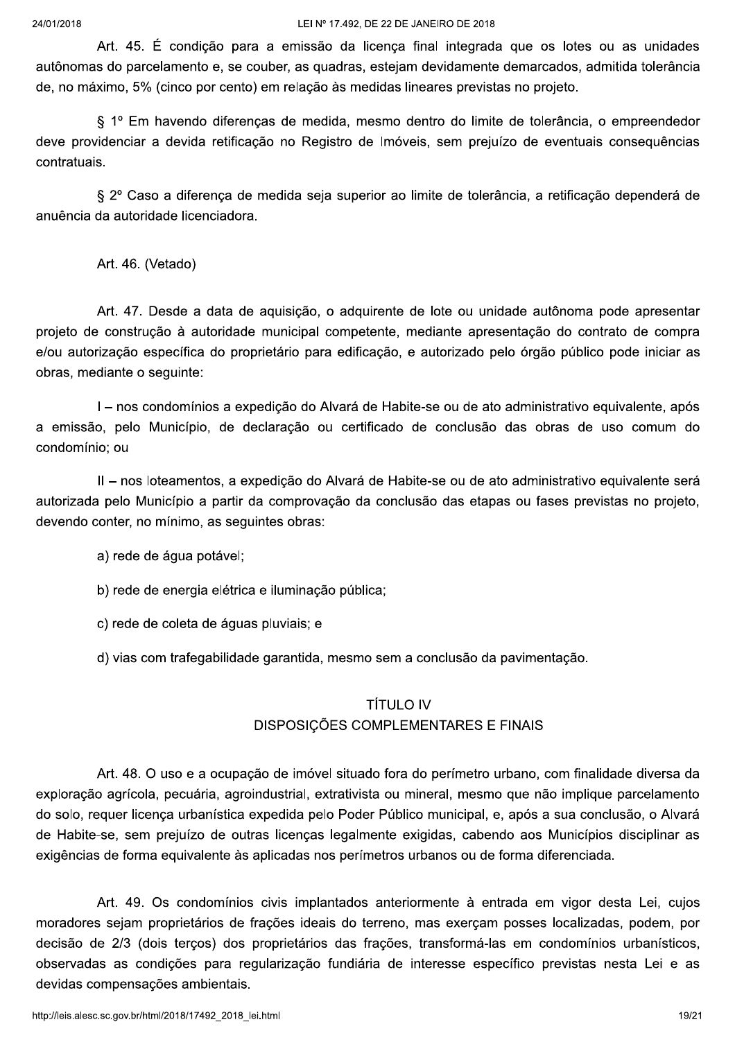Art. 45. É condição para a emissão da licença final integrada que os lotes ou as unidades autônomas do parcelamento e, se couber, as quadras, estejam devidamente demarcados, admitida tolerância de, no máximo, 5% (cinco por cento) em relação às medidas lineares previstas no projeto.

§ 1º Em havendo diferenças de medida, mesmo dentro do limite de tolerância, o empreendedor deve providenciar a devida retificação no Registro de Imóveis, sem prejuízo de eventuais conseguências contratuais.

§ 2º Caso a diferenca de medida seja superior ao limite de tolerância, a retificação dependerá de anuência da autoridade licenciadora.

Art. 46. (Vetado)

Art. 47. Desde a data de aquisição, o adquirente de lote ou unidade autônoma pode apresentar projeto de construção à autoridade municipal competente, mediante apresentação do contrato de compra e/ou autorização específica do proprietário para edificação, e autorizado pelo órgão público pode iniciar as obras, mediante o sequinte:

I - nos condomínios a expedição do Alvará de Habite-se ou de ato administrativo equivalente, após a emissão, pelo Município, de declaração ou certificado de conclusão das obras de uso comum do condomínio; ou

II - nos loteamentos, a expedição do Alvará de Habite-se ou de ato administrativo equivalente será autorizada pelo Município a partir da comprovação da conclusão das etapas ou fases previstas no projeto, devendo conter, no mínimo, as sequintes obras:

a) rede de água potável;

b) rede de energia elétrica e iluminação pública;

c) rede de coleta de áquas pluviais; e

d) vias com trafegabilidade garantida, mesmo sem a conclusão da pavimentação.

### **TÍTULO IV**

# **DISPOSICÕES COMPLEMENTARES E FINAIS**

Art. 48. O uso e a ocupação de imóvel situado fora do perímetro urbano, com finalidade diversa da exploração agrícola, pecuária, agroindustrial, extrativista ou mineral, mesmo que não implique parcelamento do solo, requer licença urbanística expedida pelo Poder Público municipal, e, após a sua conclusão, o Alvará de Habite-se, sem prejuízo de outras licencas legalmente exigidas, cabendo aos Municípios disciplinar as exigências de forma equivalente às aplicadas nos perímetros urbanos ou de forma diferenciada.

Art. 49. Os condomínios civis implantados anteriormente à entrada em vigor desta Lei, cujos moradores sejam proprietários de frações ideais do terreno, mas exerçam posses localizadas, podem, por decisão de 2/3 (dois terços) dos proprietários das frações, transformá-las em condomínios urbanísticos, observadas as condições para regularização fundiária de interesse específico previstas nesta Lei e as devidas compensações ambientais.